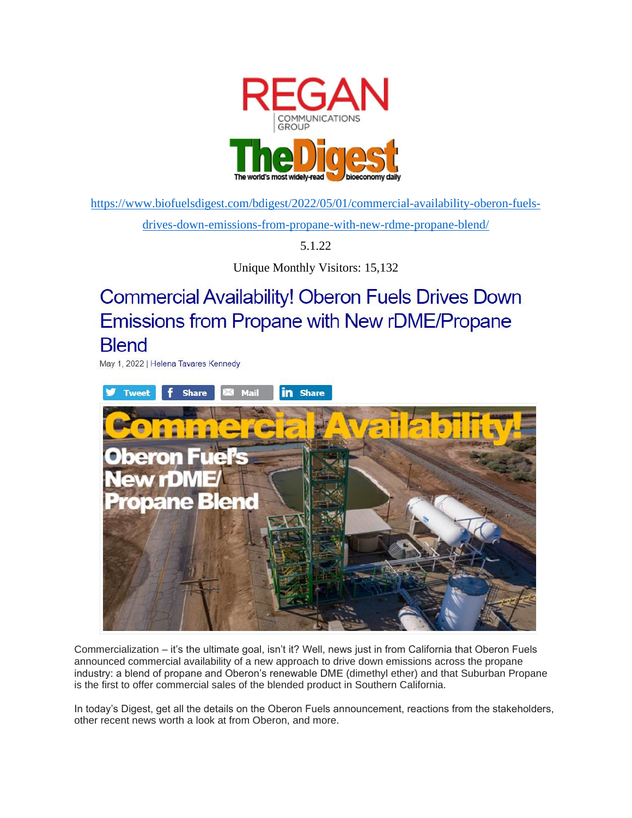

[https://www.biofuelsdigest.com/bdigest/2022/05/01/commercial-availability-oberon-fuels](https://www.biofuelsdigest.com/bdigest/2022/05/01/commercial-availability-oberon-fuels-drives-down-emissions-from-propane-with-new-rdme-propane-blend/)[drives-down-emissions-from-propane-with-new-rdme-propane-blend/](https://www.biofuelsdigest.com/bdigest/2022/05/01/commercial-availability-oberon-fuels-drives-down-emissions-from-propane-with-new-rdme-propane-blend/)

5.1.22

Unique Monthly Visitors: 15,132

# **Commercial Availability! Oberon Fuels Drives Down Emissions from Propane with New rDME/Propane Blend**

May 1, 2022 | Helena Tavares Kennedy



Commercialization – it's the ultimate goal, isn't it? Well, news just in from California that Oberon Fuels announced commercial availability of a new approach to drive down emissions across the propane industry: a blend of propane and Oberon's renewable DME (dimethyl ether) and that Suburban Propane is the first to offer commercial sales of the blended product in Southern California.

In today's Digest, get all the details on the Oberon Fuels announcement, reactions from the stakeholders, other recent news worth a look at from Oberon, and more.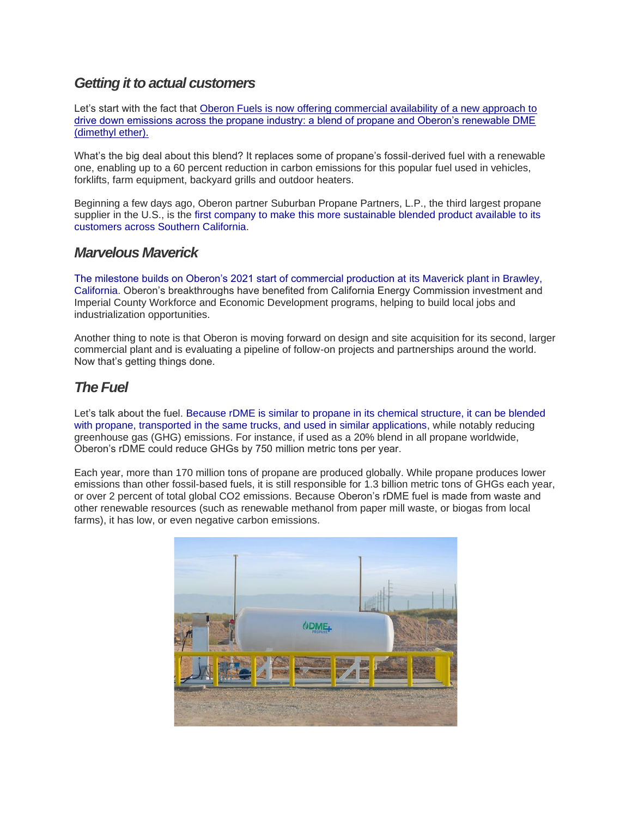### *Getting it to actual customers*

Let's start with the fact that Oberon Fuels is now offering [commercial availability of a new approach to](https://oberonfuels.com/2022/04/27/oberon-fuels-drives-down-emissions-from-propane-with-new-rdme-propane-blend/)  [drive down emissions across the propane industry: a blend of propane and Oberon's renewable DME](https://oberonfuels.com/2022/04/27/oberon-fuels-drives-down-emissions-from-propane-with-new-rdme-propane-blend/)  [\(dimethyl ether\).](https://oberonfuels.com/2022/04/27/oberon-fuels-drives-down-emissions-from-propane-with-new-rdme-propane-blend/)

What's the big deal about this blend? It replaces some of propane's fossil-derived fuel with a renewable one, enabling up to a 60 percent reduction in carbon emissions for this popular fuel used in vehicles, forklifts, farm equipment, backyard grills and outdoor heaters.

Beginning a few days ago, Oberon partner Suburban Propane Partners, L.P., the third largest propane supplier in the U.S., is the [first company to make this more sustainable blended product available to its](https://oberonfuels.com/2022/04/27/oberon-fuels-drives-down-emissions-from-propane-with-new-rdme-propane-blend/)  [customers across Southern California.](https://oberonfuels.com/2022/04/27/oberon-fuels-drives-down-emissions-from-propane-with-new-rdme-propane-blend/)

#### *Marvelous Maverick*

[The milestone builds on Oberon's 2021 start of commercial production at its Maverick plant in Brawley,](https://oberonfuels.com/2022/04/27/oberon-fuels-drives-down-emissions-from-propane-with-new-rdme-propane-blend/)  [California.](https://oberonfuels.com/2022/04/27/oberon-fuels-drives-down-emissions-from-propane-with-new-rdme-propane-blend/) Oberon's breakthroughs have benefited from California Energy Commission investment and Imperial County Workforce and Economic Development programs, helping to build local jobs and industrialization opportunities.

Another thing to note is that Oberon is moving forward on design and site acquisition for its second, larger commercial plant and is evaluating a pipeline of follow-on projects and partnerships around the world. Now that's getting things done.

# *The Fuel*

Let's talk about the fuel. [Because rDME is similar to propane in its chemical structure, it can be blended](https://oberonfuels.com/2022/04/27/oberon-fuels-drives-down-emissions-from-propane-with-new-rdme-propane-blend/)  [with propane, transported in the same trucks, and used in similar applications,](https://oberonfuels.com/2022/04/27/oberon-fuels-drives-down-emissions-from-propane-with-new-rdme-propane-blend/) while notably reducing greenhouse gas (GHG) emissions. For instance, if used as a 20% blend in all propane worldwide, Oberon's rDME could reduce GHGs by 750 million metric tons per year.

Each year, more than 170 million tons of propane are produced globally. While propane produces lower emissions than other fossil-based fuels, it is still responsible for 1.3 billion metric tons of GHGs each year, or over 2 percent of total global CO2 emissions. Because Oberon's rDME fuel is made from waste and other renewable resources (such as renewable methanol from paper mill waste, or biogas from local farms), it has low, or even negative carbon emissions.